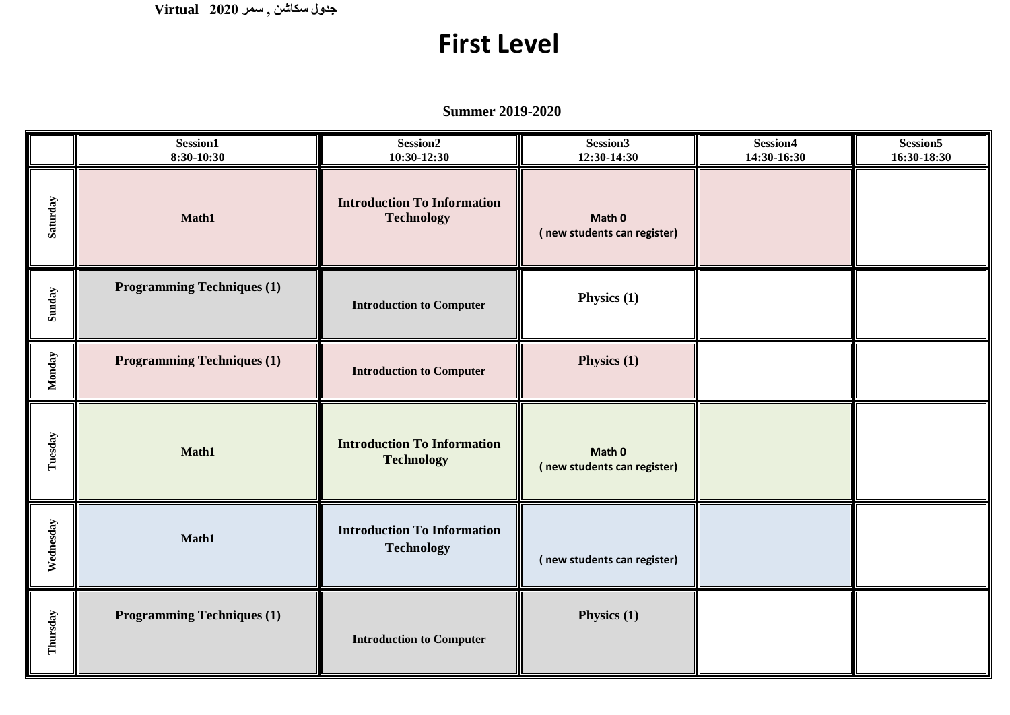**جدول سكاشن , سمر 2020 Virtual**

## **First Level**

**Summer 2019-2020**

|           | Session1<br>8:30-10:30            | Session <sub>2</sub><br>$10:30-12:30$                   | Session3<br>12:30-14:30               | Session4<br>14:30-16:30 | Session <sub>5</sub><br>16:30-18:30 |
|-----------|-----------------------------------|---------------------------------------------------------|---------------------------------------|-------------------------|-------------------------------------|
| Saturday  | Math1                             | <b>Introduction To Information</b><br><b>Technology</b> |                                       |                         |                                     |
| Sunday    | <b>Programming Techniques (1)</b> | <b>Introduction to Computer</b>                         | Physics (1)                           |                         |                                     |
| Monday    | <b>Programming Techniques (1)</b> | <b>Introduction to Computer</b>                         | Physics (1)                           |                         |                                     |
| Tuesday   | Math1                             | <b>Introduction To Information</b><br><b>Technology</b> | Math 0<br>(new students can register) |                         |                                     |
| Wednesday | Math1                             | <b>Introduction To Information</b><br><b>Technology</b> | (new students can register)           |                         |                                     |
| Thursday  | <b>Programming Techniques (1)</b> | <b>Introduction to Computer</b>                         | Physics (1)                           |                         |                                     |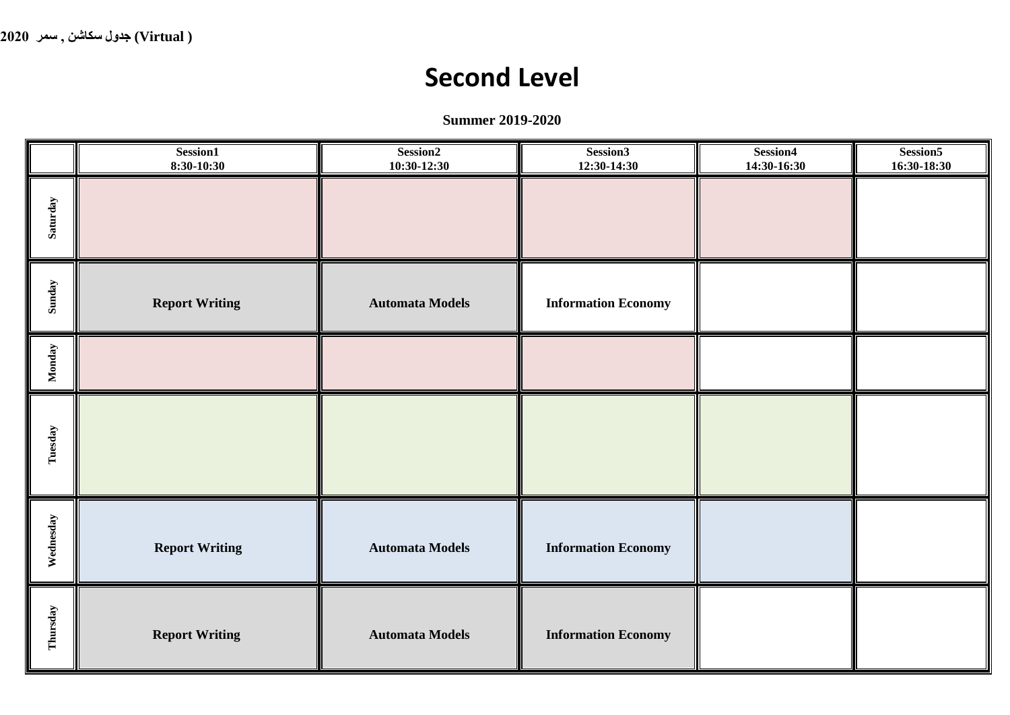## **Second Level**

**Summer 2019-2020**

|           | Session1<br>$8:30-10:30$ | Session <sub>2</sub><br>$10:30-12:30$ | Session3<br>12:30-14:30    | Session4<br>14:30-16:30 | Session5<br>16:30-18:30 |
|-----------|--------------------------|---------------------------------------|----------------------------|-------------------------|-------------------------|
| Saturday  |                          |                                       |                            |                         |                         |
| Sunday    | <b>Report Writing</b>    | <b>Automata Models</b>                | <b>Information Economy</b> |                         |                         |
| Monday    |                          |                                       |                            |                         |                         |
| Tuesday   |                          |                                       |                            |                         |                         |
| Wednesday | <b>Report Writing</b>    | <b>Automata Models</b>                | <b>Information Economy</b> |                         |                         |
| Thursday  | <b>Report Writing</b>    | <b>Automata Models</b>                | <b>Information Economy</b> |                         |                         |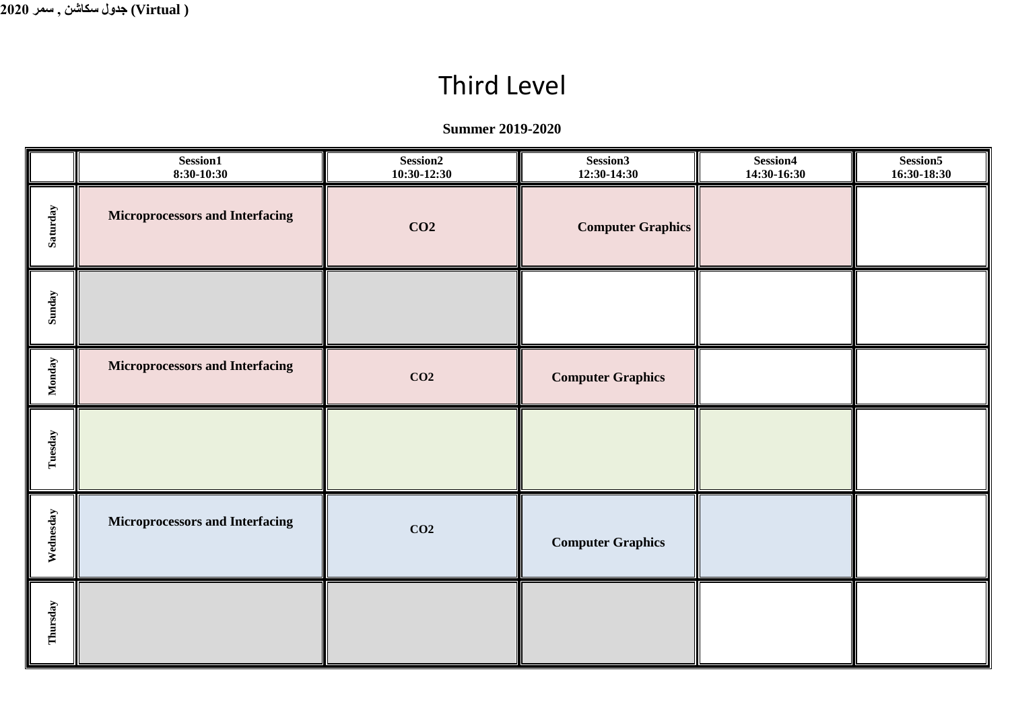## Third Level

**Summer 2019-2020**

|           | Session1<br>8:30-10:30                 | Session2<br>$10:30-12:30$ | Session3<br>12:30-14:30  | Session4<br>14:30-16:30 | Session5<br>16:30-18:30 |
|-----------|----------------------------------------|---------------------------|--------------------------|-------------------------|-------------------------|
| Saturday  | <b>Microprocessors and Interfacing</b> | CO <sub>2</sub>           | <b>Computer Graphics</b> |                         |                         |
| Sunday    |                                        |                           |                          |                         |                         |
| Monday    | <b>Microprocessors and Interfacing</b> | CO <sub>2</sub>           | <b>Computer Graphics</b> |                         |                         |
| Tuesday   |                                        |                           |                          |                         |                         |
| Wednesday | <b>Microprocessors and Interfacing</b> | CO <sub>2</sub>           | <b>Computer Graphics</b> |                         |                         |
| Thursday  |                                        |                           |                          |                         |                         |